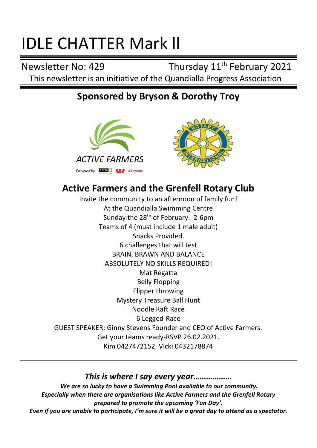# IDLE CHATTER Mark ll

Newsletter No: 429 Thursday 11<sup>th</sup> February 2021 This newsletter is an initiative of the Quandialla Progress Association

## **Sponsored by Bryson & Dorothy Troy**





# **Active Farmers and the Grenfell Rotary Club**

Invite the community to an afternoon of family fun! At the Quandialla Swim[ming Ce](https://creativecommons.org/licenses/by/3.0/)ntre Sunday the  $28<sup>th</sup>$  of February. 2-6pm Teams of 4 (must include 1 male adult) Snacks Provided. 6 challenges that will test BRAIN, BRAWN AND BALANCE ABSOLUTELY NO SKILLS REQUIRED! Mat Regatta Belly Flopping Flipper throwing Mystery Treasure Ball Hunt Noodle Raft Race 6 Legged-Race GUEST SPEAKER: Ginny Stevens Founder and CEO of Active Farmers. Get your teams ready-RSVP 26.02.2021. Kim 0427472152. Vicki 0432178874

## *This is where I say every year………………*

*We are so lucky to have a Swimming Pool available to our community. Especially when there are organisations like Active Farmers and the Grenfell Rotary prepared to promote the upcoming 'Fun Day'. Even if you are unable to participate, I'm sure it will be a great day to attend as a spectator.*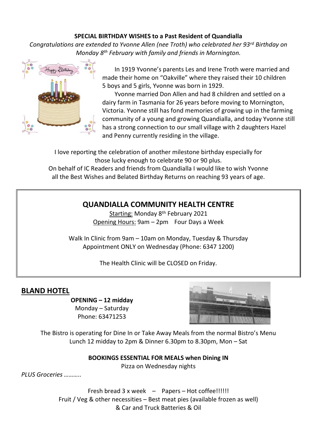#### **SPECIAL BIRTHDAY WISHES to a Past Resident of Quandialla**

*Congratulations are extended to Yvonne Allen (nee Troth) who celebrated her 93rd Birthday on Monday 8th February with family and friends in Mornington.*



 In 1919 Yvonne's parents Les and Irene Troth were married and made their home on "Oakville" where they raised their 10 children 5 boys and 5 girls, Yvonne was born in 1929.

 Yvonne married Don Allen and had 8 children and settled on a dairy farm in Tasmania for 26 years before moving to Mornington, Victoria. Yvonne still has fond memories of growing up in the farming community of a young and growing Quandialla, and today Yvonne still has a strong connection to our small village with 2 daughters Hazel and Penny currently residing in the village.

I love reporting the celebration of another milestone birthday especially for those lucky enough to celebrate 90 or 90 plus.

On behalf of IC Readers and friends from Quandialla I would like to wish Yvonne all the Best Wishes and Belated Birthday Returns on reaching 93 years of age.

## **QUANDIALLA COMMUNITY HEALTH CENTRE**

Starting: Monday 8th February 2021 Opening Hours: 9am – 2pm Four Days a Week

Walk In Clinic from 9am – 10am on Monday, Tuesday & Thursday Appointment ONLY on Wednesday (Phone: 6347 1200)

The Health Clinic will be CLOSED on Friday.

## **BLAND HOTEL**

**OPENING – 12 midday** Monday – Saturday Phone: 63471253



The Bistro is operating for Dine In or Take Away Meals from the normal Bistro's Menu Lunch 12 midday to 2pm & Dinner 6.30pm to 8.30pm, Mon – Sat

**BOOKINGS ESSENTIAL FOR MEALS when Dining IN**

Pizza on Wednesday nights

*PLUS Groceries ………..*

Fresh bread 3 x week – Papers – Hot coffee!!!!!! Fruit / Veg & other necessities – Best meat pies (available frozen as well) & Car and Truck Batteries & Oil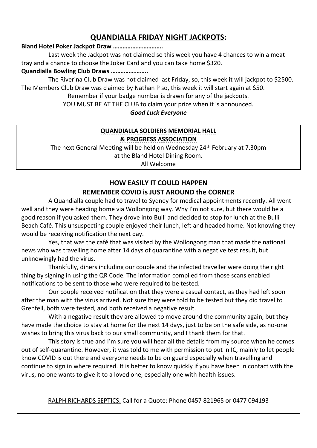## **QUANDIALLA FRIDAY NIGHT JACKPOTS:**

#### **Bland Hotel Poker Jackpot Draw ………………………….**

Last week the Jackpot was not claimed so this week you have 4 chances to win a meat tray and a chance to choose the Joker Card and you can take home \$320.

#### **Quandialla Bowling Club Draws …………………..**

The Riverina Club Draw was not claimed last Friday, so, this week it will jackpot to \$2500. The Members Club Draw was claimed by Nathan P so, this week it will start again at \$50.

Remember if your badge number is drawn for any of the jackpots.

YOU MUST BE AT THE CLUB to claim your prize when it is announced.

#### *Good Luck Everyone*

#### **QUANDIALLA SOLDIERS MEMORIAL HALL & PROGRESS ASSOCIATION**

The next General Meeting will be held on Wednesday 24th February at 7.30pm at the Bland Hotel Dining Room.

All Welcome

#### **HOW EASILY IT COULD HAPPEN REMEMBER COVID is JUST AROUND the CORNER**

A Quandialla couple had to travel to Sydney for medical appointments recently. All went well and they were heading home via Wollongong way. Why I'm not sure, but there would be a good reason if you asked them. They drove into Bulli and decided to stop for lunch at the Bulli Beach Café. This unsuspecting couple enjoyed their lunch, left and headed home. Not knowing they would be receiving notification the next day.

Yes, that was the café that was visited by the Wollongong man that made the national news who was travelling home after 14 days of quarantine with a negative test result, but unknowingly had the virus.

Thankfully, diners including our couple and the infected traveller were doing the right thing by signing in using the QR Code. The information compiled from those scans enabled notifications to be sent to those who were required to be tested.

Our couple received notification that they were a casual contact, as they had left soon after the man with the virus arrived. Not sure they were told to be tested but they did travel to Grenfell, both were tested, and both received a negative result.

With a negative result they are allowed to move around the community again, but they have made the choice to stay at home for the next 14 days, just to be on the safe side, as no-one wishes to bring this virus back to our small community, and I thank them for that.

This story is true and I'm sure you will hear all the details from my source when he comes out of self-quarantine. However, it was told to me with permission to put in IC, mainly to let people know COVID is out there and everyone needs to be on guard especially when travelling and continue to sign in where required. It is better to know quickly if you have been in contact with the virus, no one wants to give it to a loved one, especially one with health issues.

RALPH RICHARDS SEPTICS: Call for a Quote: Phone 0457 821965 or 0477 094193